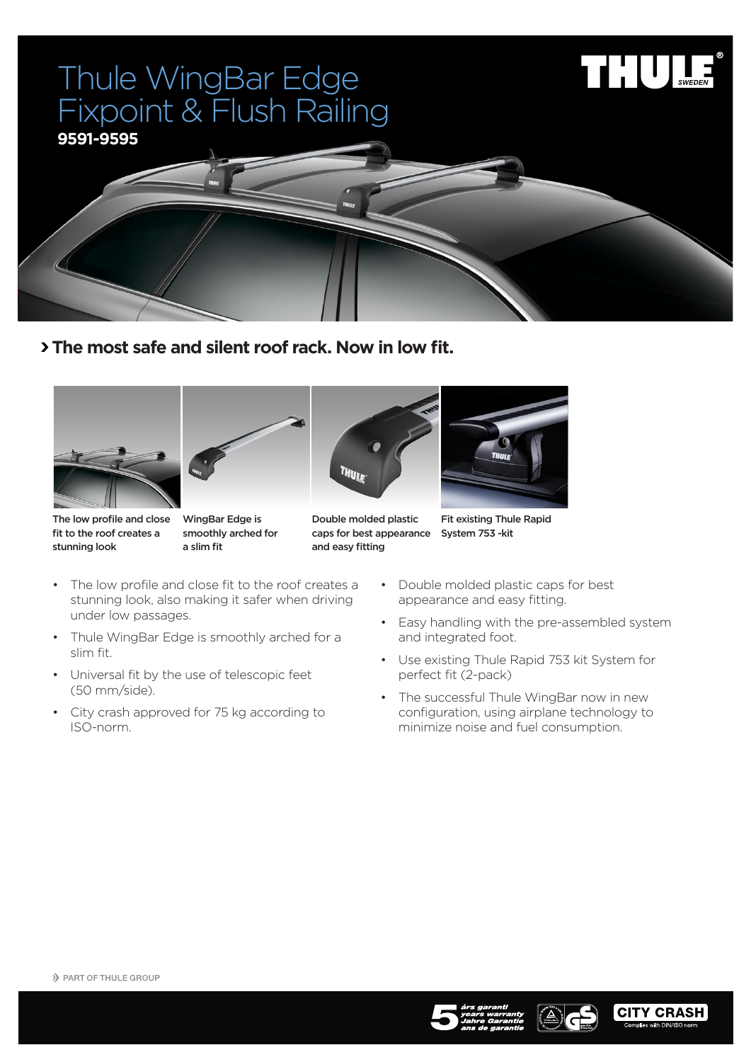## Thule WingBar Edge Fixpoint & Flush Railing





 **The most safe and silent roof rack. Now in low fit.**

![](_page_0_Picture_4.jpeg)

![](_page_0_Picture_5.jpeg)

![](_page_0_Picture_6.jpeg)

![](_page_0_Picture_7.jpeg)

The low profile and close fit to the roof creates a stunning look

slim fit.

(50 mm/side).

ISO-norm.

WingBar Edge is smoothly arched for a slim fit

Double molded plastic caps for best appearance System 753 -kit and easy fitting

Fit existing Thule Rapid

- The low profile and close fit to the roof creates a stunning look, also making it safer when driving • Double molded plastic caps for best appearance and easy fitting.
	- • Easy handling with the pre-assembled system and integrated foot.
	- • Use existing Thule Rapid 753 kit System for perfect fit (2-pack)
	- The successful Thule WingBar now in new configuration, using airplane technology to minimize noise and fuel consumption.

under low passages.

• Thule WingBar Edge is smoothly arched for a

• Universal fit by the use of telescopic feet

• City crash approved for 75 kg according to

![](_page_0_Picture_19.jpeg)

![](_page_0_Picture_20.jpeg)

![](_page_0_Picture_21.jpeg)